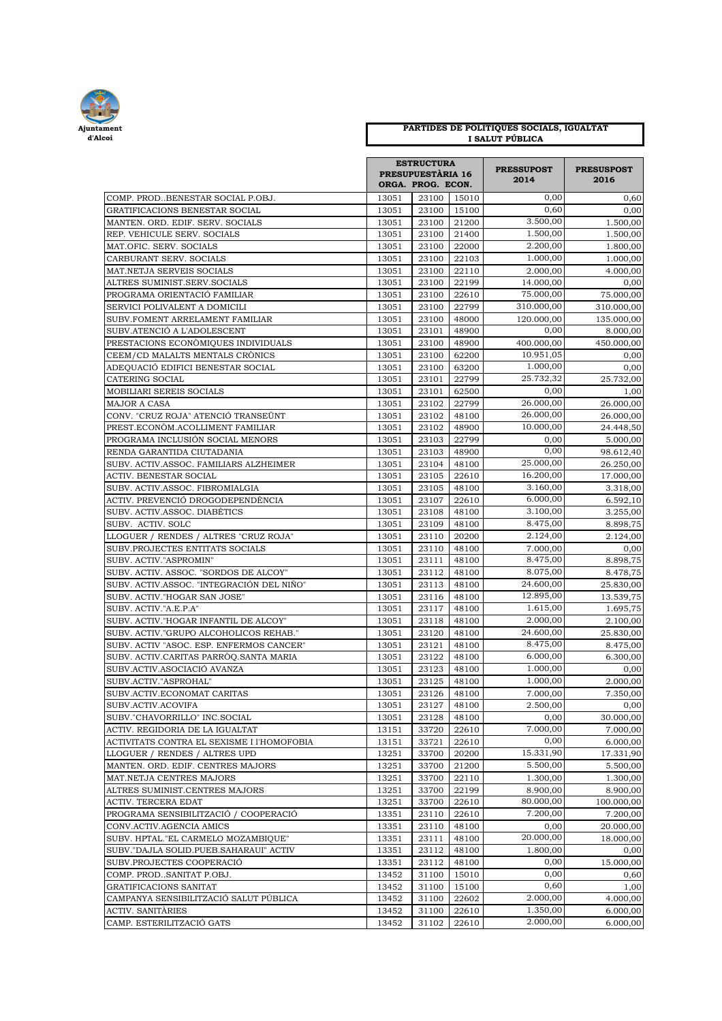

## **PARTIDES DE POLITIQUES SOCIALS, IGUALTAT I SALUT PÚBLICA**

|                                                                  |                | <b>ESTRUCTURA</b>        |                | <b>PRESSUPOST</b><br>2014 | <b>PRESUSPOST</b><br>2016 |
|------------------------------------------------------------------|----------------|--------------------------|----------------|---------------------------|---------------------------|
|                                                                  |                | <b>PRESUPUESTÀRIA 16</b> |                |                           |                           |
|                                                                  |                | ORGA. PROG. ECON.        |                |                           |                           |
| COMP. PRODBENESTAR SOCIAL P.OBJ.                                 | 13051          | 23100                    | 15010          | 0,00                      | 0,60                      |
| GRATIFICACIONS BENESTAR SOCIAL                                   | 13051          | 23100                    | 15100          | 0,60                      | 0,00                      |
| MANTEN. ORD. EDIF. SERV. SOCIALS                                 | 13051          | 23100                    | 21200          | 3.500.00                  | 1.500,00                  |
| REP. VEHICULE SERV. SOCIALS                                      | 13051          | 23100                    | 21400          | 1.500,00                  | 1.500,00                  |
| MAT.OFIC. SERV. SOCIALS                                          | 13051          | 23100                    | 22000          | 2.200,00                  | 1.800,00                  |
| CARBURANT SERV. SOCIALS                                          | 13051          | 23100                    | 22103          | 1.000,00                  | 1.000,00                  |
| MAT.NETJA SERVEIS SOCIALS                                        | 13051          | 23100                    | 22110          | 2.000,00                  | 4.000,00                  |
| ALTRES SUMINIST.SERV.SOCIALS                                     | 13051          | 23100                    | 22199          | 14.000,00<br>75.000,00    | 0,00                      |
| PROGRAMA ORIENTACIÓ FAMILIAR                                     | 13051          | 23100                    | 22610          | 310.000,00                | 75.000,00                 |
| SERVICI POLIVALENT A DOMICILI<br>SUBV.FOMENT ARRELAMENT FAMILIAR | 13051<br>13051 | 23100<br>23100           | 22799<br>48000 | 120.000.00                | 310.000,00<br>135.000,00  |
| SUBV.ATENCIÓ A L'ADOLESCENT                                      | 13051          | 23101                    | 48900          | 0,00                      | 8.000,00                  |
| PRESTACIONS ECONÒMIQUES INDIVIDUALS                              | 13051          | 23100                    | 48900          | 400.000,00                | 450.000,00                |
| CEEM/CD MALALTS MENTALS CRÒNICS                                  | 13051          | 23100                    | 62200          | 10.951,05                 | 0,00                      |
| ADEQUACIÓ EDIFICI BENESTAR SOCIAL                                | 13051          | 23100                    | 63200          | 1.000,00                  | 0,00                      |
| CATERING SOCIAL                                                  | 13051          | 23101                    | 22799          | 25.732,32                 | 25.732,00                 |
| MOBILIARI SEREIS SOCIALS                                         | 13051          | 23101                    | 62500          | 0,00                      | 1,00                      |
| MAJOR A CASA                                                     | 13051          | 23102                    | 22799          | 26.000,00                 | 26.000,00                 |
| CONV. "CRUZ ROJA" ATENCIÓ TRANSEÜNT                              | 13051          | 23102                    | 48100          | 26.000,00                 | 26.000,00                 |
| PREST.ECONÒM.ACOLLIMENT FAMILIAR                                 | 13051          | 23102                    | 48900          | 10.000.00                 | 24.448,50                 |
| PROGRAMA INCLUSIÓN SOCIAL MENORS                                 | 13051          | 23103                    | 22799          | 0,00                      | 5.000,00                  |
| RENDA GARANTIDA CIUTADANIA                                       | 13051          | 23103                    | 48900          | 0,00                      | 98.612,40                 |
| SUBV. ACTIV.ASSOC. FAMILIARS ALZHEIMER                           | 13051          | 23104                    | 48100          | 25.000,00                 | 26.250,00                 |
| ACTIV. BENESTAR SOCIAL                                           | 13051          | 23105                    | 22610          | 16.200,00                 | 17.000,00                 |
| SUBV. ACTIV.ASSOC. FIBROMIALGIA                                  | 13051          | 23105                    | 48100          | 3.160,00                  | 3.318,00                  |
| ACTIV. PREVENCIÓ DROGODEPENDÈNCIA                                | 13051          | 23107                    | 22610          | 6.000,00                  | 6.592,10                  |
| SUBV. ACTIV.ASSOC. DIABÈTICS                                     | 13051          | 23108                    | 48100          | 3.100,00                  | 3.255,00                  |
| SUBV. ACTIV. SOLC                                                | 13051          | 23109                    | 48100          | 8.475,00                  | 8.898,75                  |
| LLOGUER / RENDES / ALTRES "CRUZ ROJA"                            | 13051          | 23110                    | 20200          | 2.124,00                  | 2.124,00                  |
| SUBV.PROJECTES ENTITATS SOCIALS                                  | 13051          | 23110                    | 48100          | 7.000,00                  | 0,00                      |
| SUBV. ACTIV."ASPROMIN"                                           | 13051          | 23111                    | 48100          | 8.475,00                  | 8.898,75                  |
| SUBV. ACTIV. ASSOC. "SORDOS DE ALCOY"                            | 13051          | 23112                    | 48100          | 8.075,00                  | 8.478,75                  |
| SUBV. ACTIV.ASSOC. "INTEGRACIÓN DEL NIÑO"                        | 13051          | 23113                    | 48100          | 24.600,00                 | 25.830,00                 |
| SUBV. ACTIV."HOGAR SAN JOSE"                                     | 13051          | 23116                    | 48100          | 12.895,00                 | 13.539,75                 |
| SUBV. ACTIV."A.E.P.A"                                            | 13051          | 23117                    | 48100          | 1.615,00                  | 1.695,75                  |
| SUBV. ACTIV."HOGAR INFANTIL DE ALCOY"                            | 13051          | 23118                    | 48100          | 2.000,00                  | 2.100,00                  |
| SUBV. ACTIV."GRUPO ALCOHOLICOS REHAB."                           | 13051          | 23120                    | 48100          | 24.600,00                 | 25.830,00                 |
| SUBV. ACTIV "ASOC. ESP. ENFERMOS CANCER"                         | 13051          | 23121                    | 48100          | 8.475,00                  | 8.475,00                  |
| SUBV. ACTIV.CARITAS PARRÒQ.SANTA MARIA                           | 13051          | 23122                    | 48100          | 6.000,00                  | 6.300,00                  |
| SUBV.ACTIV.ASOCIACIÓ AVANZA                                      | 13051          | 23123                    | 48100          | 1.000,00                  | 0,00                      |
| SUBV.ACTIV."ASPROHAL"                                            | 13051          | 23125                    | 48100          | 1.000,00                  | 2.000,00                  |
| SUBV.ACTIV.ECONOMAT CARITAS                                      | 13051          | 23126                    | 48100          | 7.000,00                  | 7.350,00                  |
| SUBV.ACTIV.ACOVIFA<br>SUBV."CHAVORRILLO" INC.SOCIAL              | 13051<br>13051 | 23127<br>23128           | 48100          | 2.500,00                  | 0,00                      |
| ACTIV. REGIDORIA DE LA IGUALTAT                                  | 13151          | 33720                    | 48100<br>22610 | 0,00<br>7.000,00          | 30.000,00<br>7.000,00     |
| ACTIVITATS CONTRA EL SEXISME I l'HOMOFOBIA                       | 13151          | 33721                    | 22610          | 0,00                      | 6.000,00                  |
| LLOGUER / RENDES / ALTRES UPD                                    | 13251          | 33700                    | 20200          | 15.331,90                 | 17.331,90                 |
| MANTEN. ORD. EDIF. CENTRES MAJORS                                | 13251          | 33700                    | 21200          | 5.500,00                  | 5.500,00                  |
| MAT.NETJA CENTRES MAJORS                                         | 13251          | 33700                    | 22110          | 1.300,00                  | 1.300,00                  |
| ALTRES SUMINIST.CENTRES MAJORS                                   | 13251          | 33700                    | 22199          | 8.900,00                  | 8.900,00                  |
| ACTIV. TERCERA EDAT                                              | 13251          | 33700                    | 22610          | 80.000,00                 | 100.000,00                |
| PROGRAMA SENSIBILITZACIÓ / COOPERACIÓ                            | 13351          | 23110                    | 22610          | 7.200,00                  | 7.200,00                  |
| CONV.ACTIV.AGENCIA AMICS                                         | 13351          | 23110                    | 48100          | 0,00                      | 20.000,00                 |
| SUBV. HPTAL."EL CARMELO MOZAMBIQUE"                              | 13351          | 23111                    | 48100          | 20.000,00                 | 18.000,00                 |
| SUBV."DAJLA SOLID.PUEB.SAHARAUI" ACTIV                           | 13351          | 23112                    | 48100          | 1.800,00                  | 0,00                      |
| SUBV.PROJECTES COOPERACIÓ                                        | 13351          | 23112                    | 48100          | 0,00                      | 15.000,00                 |
| COMP. PRODSANITAT P.OBJ.                                         | 13452          | 31100                    | 15010          | 0,00                      | 0,60                      |
| GRATIFICACIONS SANITAT                                           | 13452          | 31100                    | 15100          | 0,60                      | 1,00                      |
| CAMPANYA SENSIBILITZACIÓ SALUT PÚBLICA                           | 13452          | 31100                    | 22602          | 2.000,00                  | 4.000,00                  |
| ACTIV. SANITÀRIES                                                | 13452          | 31100                    | 22610          | 1.350,00                  | 6.000,00                  |
| CAMP. ESTERILITZACIÓ GATS                                        | 13452          | 31102                    | 22610          | 2.000,00                  | 6.000,00                  |